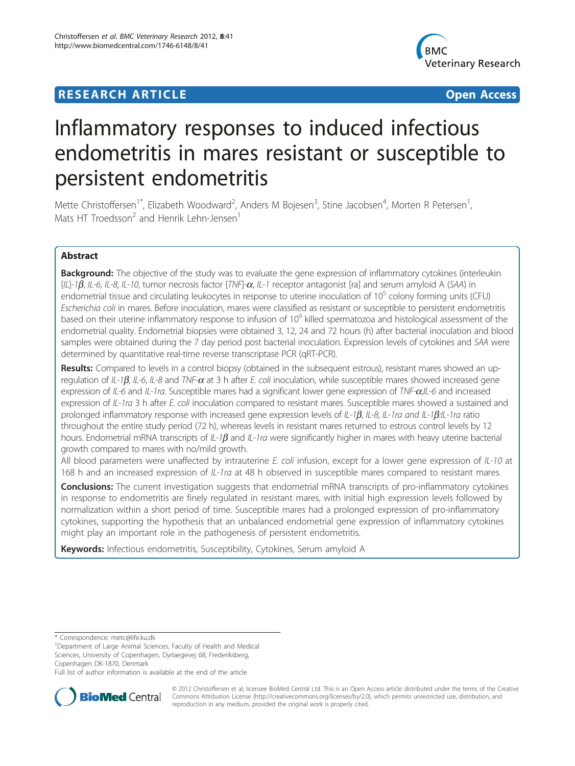## **RESEARCH ARTICLE Example 2018 12:00 Department of the Contract Open Access**



# Inflammatory responses to induced infectious endometritis in mares resistant or susceptible to persistent endometritis

Mette Christoffersen<sup>1\*</sup>, Elizabeth Woodward<sup>2</sup>, Anders M Bojesen<sup>3</sup>, Stine Jacobsen<sup>4</sup>, Morten R Petersen<sup>1</sup> , Mats HT Troedsson<sup>2</sup> and Henrik Lehn-Jensen<sup>1</sup>

## Abstract

**Background:** The objective of the study was to evaluate the gene expression of inflammatory cytokines (interleukin  $[I/L]$ -1 $B$ , IL-6, IL-8, IL-10, tumor necrosis factor [TNF]- $\alpha$ , IL-1 receptor antagonist [ra] and serum amyloid A (SAA) in endometrial tissue and circulating leukocytes in response to uterine inoculation of  $10<sup>5</sup>$  colony forming units (CFU) Escherichia coli in mares. Before inoculation, mares were classified as resistant or susceptible to persistent endometritis based on their uterine inflammatory response to infusion of  $10^9$  killed spermatozoa and histological assessment of the endometrial quality. Endometrial biopsies were obtained 3, 12, 24 and 72 hours (h) after bacterial inoculation and blood samples were obtained during the 7 day period post bacterial inoculation. Expression levels of cytokines and SAA were determined by quantitative real-time reverse transcriptase PCR (qRT-PCR).

Results: Compared to levels in a control biopsy (obtained in the subsequent estrous), resistant mares showed an upregulation of  $IL-1\beta$ ,  $IL-6$ ,  $IL-8$  and TNF- $\alpha$  at 3 h after E. coli inoculation, while susceptible mares showed increased gene expression of IL-6 and IL-1ra. Susceptible mares had a significant lower gene expression of TNF- $\alpha$ ,IL-6 and increased expression of IL-1ra 3 h after E. coli inoculation compared to resistant mares. Susceptible mares showed a sustained and prolonged inflammatory response with increased gene expression levels of IL-1 $\beta$ , IL-8, IL-1ra and IL-1 $\beta$ :IL-1ra ratio throughout the entire study period (72 h), whereas levels in resistant mares returned to estrous control levels by 12 hours. Endometrial mRNA transcripts of IL-1 $\beta$  and IL-1ra were significantly higher in mares with heavy uterine bacterial growth compared to mares with no/mild growth.

All blood parameters were unaffected by intrauterine E. coli infusion, except for a lower gene expression of  $IL-10$  at 168 h and an increased expression of IL-1ra at 48 h observed in susceptible mares compared to resistant mares.

**Conclusions:** The current investigation suggests that endometrial mRNA transcripts of pro-inflammatory cytokines in response to endometritis are finely regulated in resistant mares, with initial high expression levels followed by normalization within a short period of time. Susceptible mares had a prolonged expression of pro-inflammatory cytokines, supporting the hypothesis that an unbalanced endometrial gene expression of inflammatory cytokines might play an important role in the pathogenesis of persistent endometritis.

Keywords: Infectious endometritis, Susceptibility, Cytokines, Serum amyloid A

\* Correspondence: [metc@life.ku.dk](mailto:metc@life.ku.dk)

Full list of author information is available at the end of the article



© 2012 Christoffersen et al; licensee BioMed Central Ltd. This is an Open Access article distributed under the terms of the Creative Commons Attribution License [\(http://creativecommons.org/licenses/by/2.0](http://creativecommons.org/licenses/by/2.0)), which permits unrestricted use, distribution, and reproduction in any medium, provided the original work is properly cited.

<sup>&</sup>lt;sup>1</sup>Department of Large Animal Sciences, Faculty of Health and Medical Sciences, University of Copenhagen, Dyrlaegevej 68, Frederiksberg, Copenhagen DK-1870, Denmark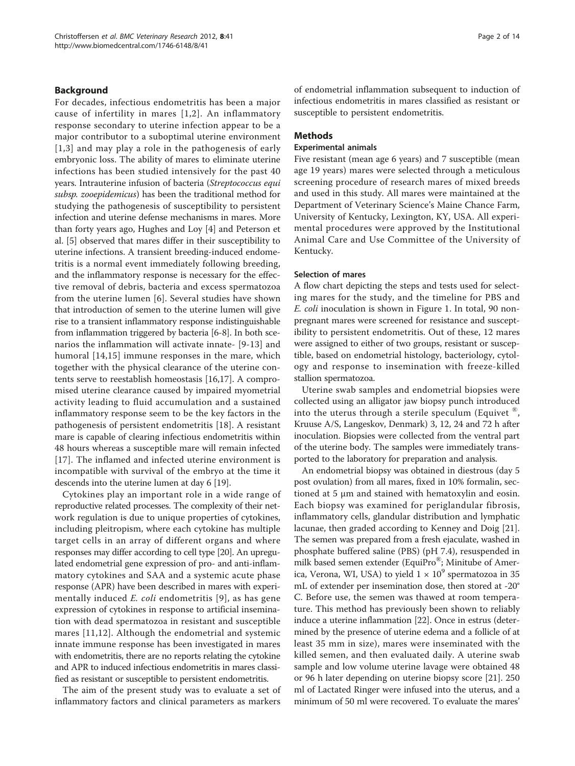## Background

For decades, infectious endometritis has been a major cause of infertility in mares [[1](#page-11-0),[2\]](#page-11-0). An inflammatory response secondary to uterine infection appear to be a major contributor to a suboptimal uterine environment [[1](#page-11-0),[3](#page-11-0)] and may play a role in the pathogenesis of early embryonic loss. The ability of mares to eliminate uterine infections has been studied intensively for the past 40 years. Intrauterine infusion of bacteria (Streptococcus equi subsp. zooepidemicus) has been the traditional method for studying the pathogenesis of susceptibility to persistent infection and uterine defense mechanisms in mares. More than forty years ago, Hughes and Loy [[4\]](#page-11-0) and Peterson et al. [[5\]](#page-11-0) observed that mares differ in their susceptibility to uterine infections. A transient breeding-induced endometritis is a normal event immediately following breeding, and the inflammatory response is necessary for the effective removal of debris, bacteria and excess spermatozoa from the uterine lumen [\[6](#page-11-0)]. Several studies have shown that introduction of semen to the uterine lumen will give rise to a transient inflammatory response indistinguishable from inflammation triggered by bacteria [[6-8\]](#page-11-0). In both scenarios the inflammation will activate innate- [\[9](#page-11-0)-[13](#page-11-0)] and humoral [[14](#page-11-0),[15\]](#page-11-0) immune responses in the mare, which together with the physical clearance of the uterine contents serve to reestablish homeostasis [[16](#page-12-0),[17](#page-12-0)]. A compromised uterine clearance caused by impaired myometrial activity leading to fluid accumulation and a sustained inflammatory response seem to be the key factors in the pathogenesis of persistent endometritis [[18\]](#page-12-0). A resistant mare is capable of clearing infectious endometritis within 48 hours whereas a susceptible mare will remain infected [[17](#page-12-0)]. The inflamed and infected uterine environment is incompatible with survival of the embryo at the time it descends into the uterine lumen at day 6 [[19](#page-12-0)].

Cytokines play an important role in a wide range of reproductive related processes. The complexity of their network regulation is due to unique properties of cytokines, including pleitropism, where each cytokine has multiple target cells in an array of different organs and where responses may differ according to cell type [\[20](#page-12-0)]. An upregulated endometrial gene expression of pro- and anti-inflammatory cytokines and SAA and a systemic acute phase response (APR) have been described in mares with experimentally induced *E. coli* endometritis [[9](#page-11-0)], as has gene expression of cytokines in response to artificial insemination with dead spermatozoa in resistant and susceptible mares [[11,12\]](#page-11-0). Although the endometrial and systemic innate immune response has been investigated in mares with endometritis, there are no reports relating the cytokine and APR to induced infectious endometritis in mares classified as resistant or susceptible to persistent endometritis.

The aim of the present study was to evaluate a set of inflammatory factors and clinical parameters as markers

of endometrial inflammation subsequent to induction of infectious endometritis in mares classified as resistant or susceptible to persistent endometritis.

## Methods

## Experimental animals

Five resistant (mean age 6 years) and 7 susceptible (mean age 19 years) mares were selected through a meticulous screening procedure of research mares of mixed breeds and used in this study. All mares were maintained at the Department of Veterinary Science's Maine Chance Farm, University of Kentucky, Lexington, KY, USA. All experimental procedures were approved by the Institutional Animal Care and Use Committee of the University of Kentucky.

## Selection of mares

A flow chart depicting the steps and tests used for selecting mares for the study, and the timeline for PBS and E. coli inoculation is shown in Figure [1.](#page-2-0) In total, 90 nonpregnant mares were screened for resistance and susceptibility to persistent endometritis. Out of these, 12 mares were assigned to either of two groups, resistant or susceptible, based on endometrial histology, bacteriology, cytology and response to insemination with freeze-killed stallion spermatozoa.

Uterine swab samples and endometrial biopsies were collected using an alligator jaw biopsy punch introduced into the uterus through a sterile speculum (Equivet  $\mathcal{R}$ ), Kruuse A/S, Langeskov, Denmark) 3, 12, 24 and 72 h after inoculation. Biopsies were collected from the ventral part of the uterine body. The samples were immediately transported to the laboratory for preparation and analysis.

An endometrial biopsy was obtained in diestrous (day 5 post ovulation) from all mares, fixed in 10% formalin, sectioned at 5 μm and stained with hematoxylin and eosin. Each biopsy was examined for periglandular fibrosis, inflammatory cells, glandular distribution and lymphatic lacunae, then graded according to Kenney and Doig [\[21](#page-12-0)]. The semen was prepared from a fresh ejaculate, washed in phosphate buffered saline (PBS) (pH 7.4), resuspended in milk based semen extender (EquiPro<sup>®</sup>; Minitube of America, Verona, WI, USA) to yield  $1 \times 10^9$  spermatozoa in 35 mL of extender per insemination dose, then stored at -20° C. Before use, the semen was thawed at room temperature. This method has previously been shown to reliably induce a uterine inflammation [\[22](#page-12-0)]. Once in estrus (determined by the presence of uterine edema and a follicle of at least 35 mm in size), mares were inseminated with the killed semen, and then evaluated daily. A uterine swab sample and low volume uterine lavage were obtained 48 or 96 h later depending on uterine biopsy score [[21\]](#page-12-0). 250 ml of Lactated Ringer were infused into the uterus, and a minimum of 50 ml were recovered. To evaluate the mares'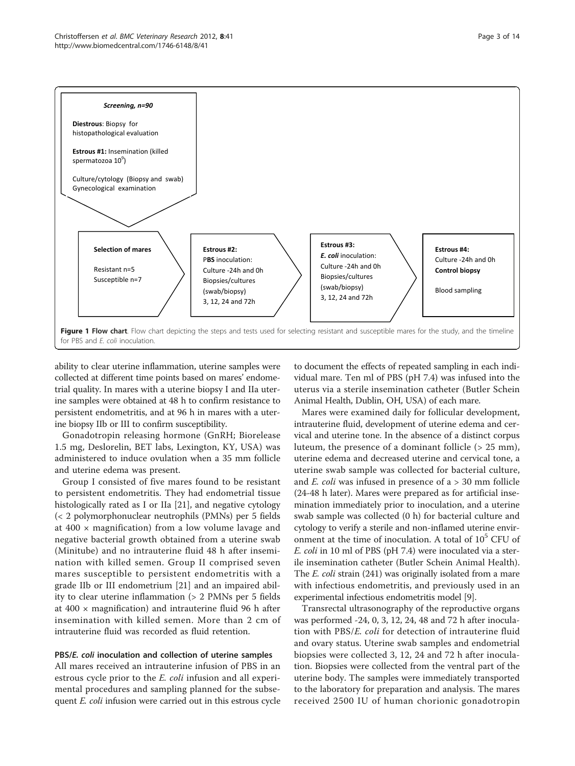<span id="page-2-0"></span>

ability to clear uterine inflammation, uterine samples were collected at different time points based on mares' endometrial quality. In mares with a uterine biopsy I and IIa uterine samples were obtained at 48 h to confirm resistance to persistent endometritis, and at 96 h in mares with a uterine biopsy IIb or III to confirm susceptibility.

Gonadotropin releasing hormone (GnRH; Biorelease 1.5 mg, Deslorelin, BET labs, Lexington, KY, USA) was administered to induce ovulation when a 35 mm follicle and uterine edema was present.

Group I consisted of five mares found to be resistant to persistent endometritis. They had endometrial tissue histologically rated as I or IIa [[21\]](#page-12-0), and negative cytology (< 2 polymorphonuclear neutrophils (PMNs) per 5 fields at  $400 \times$  magnification) from a low volume lavage and negative bacterial growth obtained from a uterine swab (Minitube) and no intrauterine fluid 48 h after insemination with killed semen. Group II comprised seven mares susceptible to persistent endometritis with a grade IIb or III endometrium [[21\]](#page-12-0) and an impaired ability to clear uterine inflammation (> 2 PMNs per 5 fields at  $400 \times$  magnification) and intrauterine fluid 96 h after insemination with killed semen. More than 2 cm of intrauterine fluid was recorded as fluid retention.

## PBS/E. coli inoculation and collection of uterine samples

All mares received an intrauterine infusion of PBS in an estrous cycle prior to the E. coli infusion and all experimental procedures and sampling planned for the subsequent E. coli infusion were carried out in this estrous cycle to document the effects of repeated sampling in each individual mare. Ten ml of PBS (pH 7.4) was infused into the uterus via a sterile insemination catheter (Butler Schein Animal Health, Dublin, OH, USA) of each mare.

Mares were examined daily for follicular development, intrauterine fluid, development of uterine edema and cervical and uterine tone. In the absence of a distinct corpus luteum, the presence of a dominant follicle (> 25 mm), uterine edema and decreased uterine and cervical tone, a uterine swab sample was collected for bacterial culture, and  $E$ . *coli* was infused in presence of  $a > 30$  mm follicle (24-48 h later). Mares were prepared as for artificial insemination immediately prior to inoculation, and a uterine swab sample was collected (0 h) for bacterial culture and cytology to verify a sterile and non-inflamed uterine environment at the time of inoculation. A total of  $10<sup>5</sup>$  CFU of E. coli in 10 ml of PBS (pH 7.4) were inoculated via a sterile insemination catheter (Butler Schein Animal Health). The *E. coli* strain (241) was originally isolated from a mare with infectious endometritis, and previously used in an experimental infectious endometritis model [[9\]](#page-11-0).

Transrectal ultrasonography of the reproductive organs was performed -24, 0, 3, 12, 24, 48 and 72 h after inoculation with PBS/E. coli for detection of intrauterine fluid and ovary status. Uterine swab samples and endometrial biopsies were collected 3, 12, 24 and 72 h after inoculation. Biopsies were collected from the ventral part of the uterine body. The samples were immediately transported to the laboratory for preparation and analysis. The mares received 2500 IU of human chorionic gonadotropin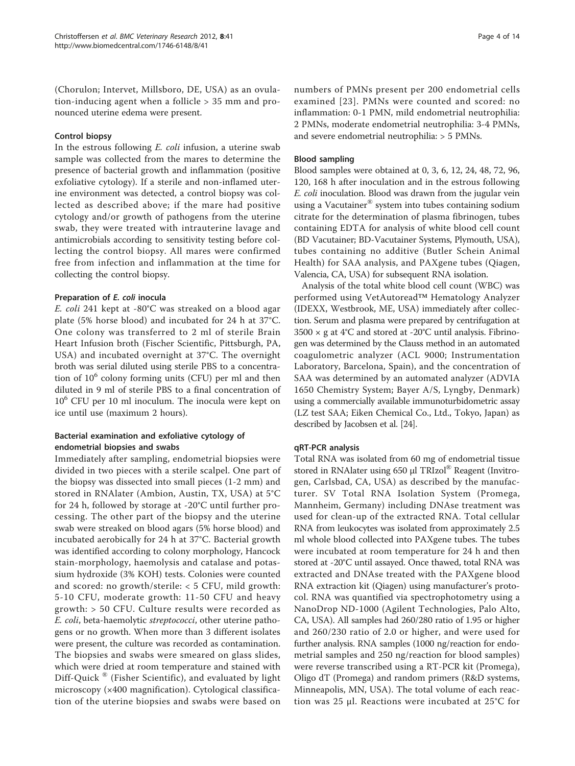(Chorulon; Intervet, Millsboro, DE, USA) as an ovulation-inducing agent when a follicle > 35 mm and pronounced uterine edema were present.

## Control biopsy

In the estrous following *E. coli* infusion, a uterine swab sample was collected from the mares to determine the presence of bacterial growth and inflammation (positive exfoliative cytology). If a sterile and non-inflamed uterine environment was detected, a control biopsy was collected as described above; if the mare had positive cytology and/or growth of pathogens from the uterine swab, they were treated with intrauterine lavage and antimicrobials according to sensitivity testing before collecting the control biopsy. All mares were confirmed free from infection and inflammation at the time for collecting the control biopsy.

## Preparation of E. coli inocula

E. coli 241 kept at -80°C was streaked on a blood agar plate (5% horse blood) and incubated for 24 h at 37°C. One colony was transferred to 2 ml of sterile Brain Heart Infusion broth (Fischer Scientific, Pittsburgh, PA, USA) and incubated overnight at 37°C. The overnight broth was serial diluted using sterile PBS to a concentration of  $10^6$  colony forming units (CFU) per ml and then diluted in 9 ml of sterile PBS to a final concentration of 10<sup>6</sup> CFU per 10 ml inoculum. The inocula were kept on ice until use (maximum 2 hours).

## Bacterial examination and exfoliative cytology of endometrial biopsies and swabs

Immediately after sampling, endometrial biopsies were divided in two pieces with a sterile scalpel. One part of the biopsy was dissected into small pieces (1-2 mm) and stored in RNAlater (Ambion, Austin, TX, USA) at 5°C for 24 h, followed by storage at -20°C until further processing. The other part of the biopsy and the uterine swab were streaked on blood agars (5% horse blood) and incubated aerobically for 24 h at 37°C. Bacterial growth was identified according to colony morphology, Hancock stain-morphology, haemolysis and catalase and potassium hydroxide (3% KOH) tests. Colonies were counted and scored: no growth/sterile: < 5 CFU, mild growth: 5-10 CFU, moderate growth: 11-50 CFU and heavy growth: > 50 CFU. Culture results were recorded as E. coli, beta-haemolytic streptococci, other uterine pathogens or no growth. When more than 3 different isolates were present, the culture was recorded as contamination. The biopsies and swabs were smeared on glass slides, which were dried at room temperature and stained with Diff-Quick ® (Fisher Scientific), and evaluated by light microscopy (×400 magnification). Cytological classification of the uterine biopsies and swabs were based on numbers of PMNs present per 200 endometrial cells examined [[23\]](#page-12-0). PMNs were counted and scored: no inflammation: 0-1 PMN, mild endometrial neutrophilia: 2 PMNs, moderate endometrial neutrophilia: 3-4 PMNs, and severe endometrial neutrophilia: > 5 PMNs.

## Blood sampling

Blood samples were obtained at 0, 3, 6, 12, 24, 48, 72, 96, 120, 168 h after inoculation and in the estrous following E. coli inoculation. Blood was drawn from the jugular vein using a Vacutainer® system into tubes containing sodium citrate for the determination of plasma fibrinogen, tubes containing EDTA for analysis of white blood cell count (BD Vacutainer; BD-Vacutainer Systems, Plymouth, USA), tubes containing no additive (Butler Schein Animal Health) for SAA analysis, and PAXgene tubes (Qiagen, Valencia, CA, USA) for subsequent RNA isolation.

Analysis of the total white blood cell count (WBC) was performed using VetAutoread™ Hematology Analyzer (IDEXX, Westbrook, ME, USA) immediately after collection. Serum and plasma were prepared by centrifugation at  $3500 \times g$  at 4°C and stored at -20°C until analysis. Fibrinogen was determined by the Clauss method in an automated coagulometric analyzer (ACL 9000; Instrumentation Laboratory, Barcelona, Spain), and the concentration of SAA was determined by an automated analyzer (ADVIA 1650 Chemistry System; Bayer A/S, Lyngby, Denmark) using a commercially available immunoturbidometric assay (LZ test SAA; Eiken Chemical Co., Ltd., Tokyo, Japan) as described by Jacobsen et al. [\[24](#page-12-0)].

## qRT-PCR analysis

Total RNA was isolated from 60 mg of endometrial tissue stored in RNAlater using 650 μl TRIzol® Reagent (Invitrogen, Carlsbad, CA, USA) as described by the manufacturer. SV Total RNA Isolation System (Promega, Mannheim, Germany) including DNAse treatment was used for clean-up of the extracted RNA. Total cellular RNA from leukocytes was isolated from approximately 2.5 ml whole blood collected into PAXgene tubes. The tubes were incubated at room temperature for 24 h and then stored at -20°C until assayed. Once thawed, total RNA was extracted and DNAse treated with the PAXgene blood RNA extraction kit (Qiagen) using manufacturer's protocol. RNA was quantified via spectrophotometry using a NanoDrop ND-1000 (Agilent Technologies, Palo Alto, CA, USA). All samples had 260/280 ratio of 1.95 or higher and 260/230 ratio of 2.0 or higher, and were used for further analysis. RNA samples (1000 ng/reaction for endometrial samples and 250 ng/reaction for blood samples) were reverse transcribed using a RT-PCR kit (Promega), Oligo dT (Promega) and random primers (R&D systems, Minneapolis, MN, USA). The total volume of each reaction was 25 μl. Reactions were incubated at 25°C for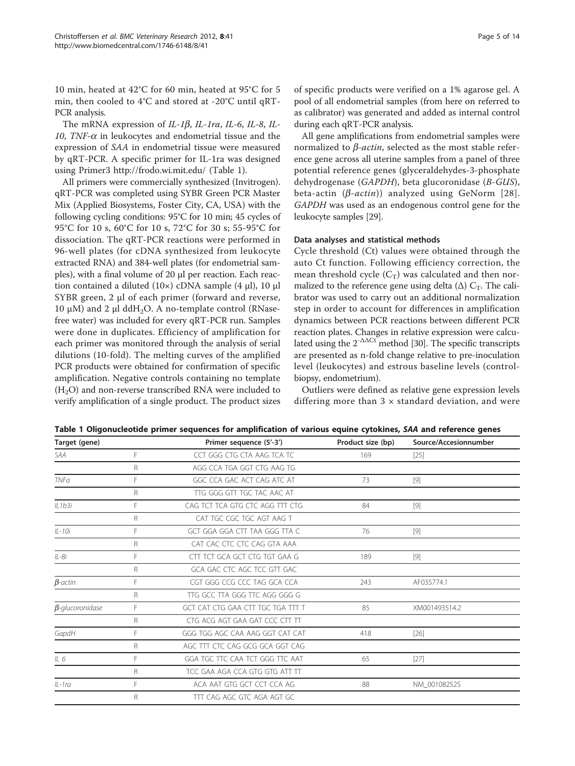10 min, heated at 42°C for 60 min, heated at 95°C for 5 min, then cooled to 4°C and stored at -20°C until qRT-PCR analysis.

The mRNA expression of  $IL-I\beta$ ,  $IL-Ira$ ,  $IL-6$ ,  $IL-8$ ,  $IL-$ 10, TNF- $\alpha$  in leukocytes and endometrial tissue and the expression of SAA in endometrial tissue were measured by qRT-PCR. A specific primer for IL-1ra was designed using Primer3<http://frodo.wi.mit.edu/> (Table 1).

All primers were commercially synthesized (Invitrogen). qRT-PCR was completed using SYBR Green PCR Master Mix (Applied Biosystems, Foster City, CA, USA) with the following cycling conditions: 95°C for 10 min; 45 cycles of 95°C for 10 s, 60°C for 10 s, 72°C for 30 s; 55-95°C for dissociation. The qRT-PCR reactions were performed in 96-well plates (for cDNA synthesized from leukocyte extracted RNA) and 384-well plates (for endometrial samples), with a final volume of 20 μl per reaction. Each reaction contained a diluted (10 $\times$ ) cDNA sample (4 μl), 10 μl SYBR green, 2 μl of each primer (forward and reverse, 10 μM) and 2 μl ddH<sub>2</sub>O. A no-template control (RNasefree water) was included for every qRT-PCR run. Samples were done in duplicates. Efficiency of amplification for each primer was monitored through the analysis of serial dilutions (10-fold). The melting curves of the amplified PCR products were obtained for confirmation of specific amplification. Negative controls containing no template  $(H<sub>2</sub>O)$  and non-reverse transcribed RNA were included to verify amplification of a single product. The product sizes of specific products were verified on a 1% agarose gel. A pool of all endometrial samples (from here on referred to as calibrator) was generated and added as internal control during each qRT-PCR analysis.

All gene amplifications from endometrial samples were normalized to  $\beta$ -actin, selected as the most stable reference gene across all uterine samples from a panel of three potential reference genes (glyceraldehydes-3-phosphate dehydrogenase (GAPDH), beta glucoronidase (B-GUS), beta-actin ( $\beta$ -actin)) analyzed using GeNorm [[28\]](#page-12-0). GAPDH was used as an endogenous control gene for the leukocyte samples [\[29\]](#page-12-0).

## Data analyses and statistical methods

Cycle threshold (Ct) values were obtained through the auto Ct function. Following efficiency correction, the mean threshold cycle  $(C_T)$  was calculated and then normalized to the reference gene using delta ( $\Delta$ )  $C_T$ . The calibrator was used to carry out an additional normalization step in order to account for differences in amplification dynamics between PCR reactions between different PCR reaction plates. Changes in relative expression were calculated using the  $2^{-\Delta\Delta Ct}$  method [[30](#page-12-0)]. The specific transcripts are presented as n-fold change relative to pre-inoculation level (leukocytes) and estrous baseline levels (controlbiopsy, endometrium).

Outliers were defined as relative gene expression levels differing more than  $3 \times$  standard deviation, and were

| Target (gene)          |   | Primer sequence (5'-3')           | Product size (bp) | Source/Accesionnumber |
|------------------------|---|-----------------------------------|-------------------|-----------------------|
| SAA                    | F | CCT GGG CTG CTA AAG TCA TC        | 169               | $[25]$                |
|                        | R | AGG CCA TGA GGT CTG AAG TG        |                   |                       |
| <b>TNFa</b>            | F | GGC CCA GAC ACT CAG ATC AT        | 73                | $[9]$                 |
|                        | R | TTG GGG GTT TGC TAC AAC AT        |                   |                       |
| IL1b3i                 | F | CAG TCT TCA GTG CTC AGG TTT CTG   | 84                | $[9]$                 |
|                        | R | CAT TGC CGC TGC AGT AAG T         |                   |                       |
| $IL-1Oi$               | F | GCT GGA GGA CTT TAA GGG TTA C     | 76                | $[9]$                 |
|                        | R | CAT CAC CTC CTC CAG GTA AAA       |                   |                       |
| $IL-8i$                |   | CTT TCT GCA GCT CTG TGT GAA G     | 189               | $[9]$                 |
|                        | R | GCA GAC CTC AGC TCC GTT GAC       |                   |                       |
| $\beta$ -actin         | F | CGT GGG CCG CCC TAG GCA CCA       | 243               | AF035774.1            |
|                        | R | TTG GCC TTA GGG TTC AGG GGG G     |                   |                       |
| $\beta$ -glucoronidase | F | GCT CAT CTG GAA CTT TGC TGA TTT T | 85                | XM001493514.2         |
|                        | R | CTG ACG AGT GAA GAT CCC CTT TT    |                   |                       |
| GapdH                  | F | GGG TGG AGC CAA AAG GGT CAT CAT   | 418               | $[26]$                |
|                        | R | AGC TTT CTC CAG GCG GCA GGT CAG   |                   |                       |
| IL <sub>6</sub>        | F | GGA TGC TTC CAA TCT GGG TTC AAT   | 65                | $[27]$                |
|                        | R | TCC GAA AGA CCA GTG GTG ATT TT    |                   |                       |
| $IL-Ira$               | F | ACA AAT GTG GCT CCT CCA AG        | 88                | NM_001082525          |
|                        | R | TTT CAG AGC GTC AGA AGT GC        |                   |                       |

Table 1 Oligonucleotide primer sequences for amplification of various equine cytokines, SAA and reference genes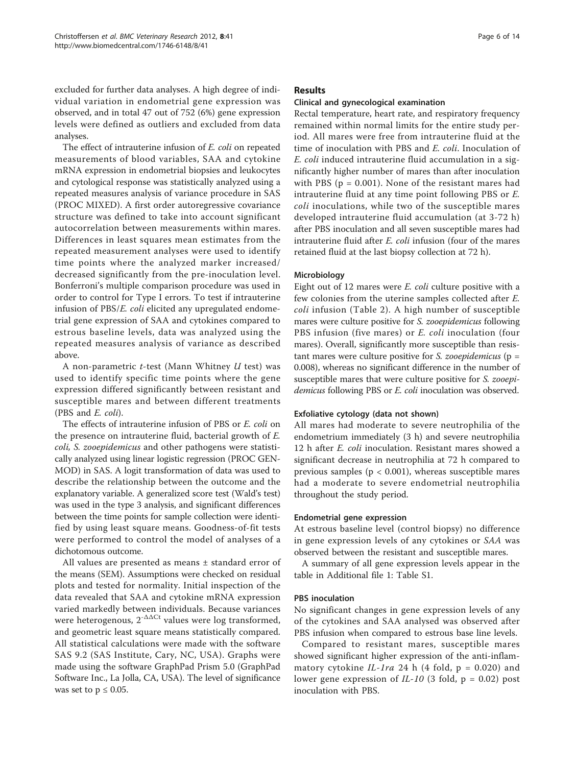excluded for further data analyses. A high degree of individual variation in endometrial gene expression was observed, and in total 47 out of 752 (6%) gene expression levels were defined as outliers and excluded from data analyses.

The effect of intrauterine infusion of E. coli on repeated measurements of blood variables, SAA and cytokine mRNA expression in endometrial biopsies and leukocytes and cytological response was statistically analyzed using a repeated measures analysis of variance procedure in SAS (PROC MIXED). A first order autoregressive covariance structure was defined to take into account significant autocorrelation between measurements within mares. Differences in least squares mean estimates from the repeated measurement analyses were used to identify time points where the analyzed marker increased/ decreased significantly from the pre-inoculation level. Bonferroni's multiple comparison procedure was used in order to control for Type I errors. To test if intrauterine infusion of PBS/E. coli elicited any upregulated endometrial gene expression of SAA and cytokines compared to estrous baseline levels, data was analyzed using the repeated measures analysis of variance as described above.

A non-parametric t-test (Mann Whitney U test) was used to identify specific time points where the gene expression differed significantly between resistant and susceptible mares and between different treatments (PBS and E. coli).

The effects of intrauterine infusion of PBS or *E. coli* on the presence on intrauterine fluid, bacterial growth of E. coli, S. zooepidemicus and other pathogens were statistically analyzed using linear logistic regression (PROC GEN-MOD) in SAS. A logit transformation of data was used to describe the relationship between the outcome and the explanatory variable. A generalized score test (Wald's test) was used in the type 3 analysis, and significant differences between the time points for sample collection were identified by using least square means. Goodness-of-fit tests were performed to control the model of analyses of a dichotomous outcome.

All values are presented as means ± standard error of the means (SEM). Assumptions were checked on residual plots and tested for normality. Initial inspection of the data revealed that SAA and cytokine mRNA expression varied markedly between individuals. Because variances were heterogenous, 2<sup>-ΔΔCt</sup> values were log transformed, and geometric least square means statistically compared. All statistical calculations were made with the software SAS 9.2 (SAS Institute, Cary, NC, USA). Graphs were made using the software GraphPad Prism 5.0 (GraphPad Software Inc., La Jolla, CA, USA). The level of significance was set to  $p \leq 0.05$ .

## Results

### Clinical and gynecological examination

Rectal temperature, heart rate, and respiratory frequency remained within normal limits for the entire study period. All mares were free from intrauterine fluid at the time of inoculation with PBS and E. coli. Inoculation of E. coli induced intrauterine fluid accumulation in a significantly higher number of mares than after inoculation with PBS ( $p = 0.001$ ). None of the resistant mares had intrauterine fluid at any time point following PBS or E. coli inoculations, while two of the susceptible mares developed intrauterine fluid accumulation (at 3-72 h) after PBS inoculation and all seven susceptible mares had intrauterine fluid after E. coli infusion (four of the mares retained fluid at the last biopsy collection at 72 h).

## Microbiology

Eight out of 12 mares were E. coli culture positive with a few colonies from the uterine samples collected after E. coli infusion (Table [2](#page-6-0)). A high number of susceptible mares were culture positive for S. zooepidemicus following PBS infusion (five mares) or E. coli inoculation (four mares). Overall, significantly more susceptible than resistant mares were culture positive for  $S$ . *zooepidemicus* ( $p =$ 0.008), whereas no significant difference in the number of susceptible mares that were culture positive for S. zooepidemicus following PBS or E. coli inoculation was observed.

## Exfoliative cytology (data not shown)

All mares had moderate to severe neutrophilia of the endometrium immediately (3 h) and severe neutrophilia 12 h after *E. coli* inoculation. Resistant mares showed a significant decrease in neutrophilia at 72 h compared to previous samples ( $p < 0.001$ ), whereas susceptible mares had a moderate to severe endometrial neutrophilia throughout the study period.

#### Endometrial gene expression

At estrous baseline level (control biopsy) no difference in gene expression levels of any cytokines or SAA was observed between the resistant and susceptible mares.

A summary of all gene expression levels appear in the table in Additional file [1](#page-11-0): Table S1.

## PBS inoculation

No significant changes in gene expression levels of any of the cytokines and SAA analysed was observed after PBS infusion when compared to estrous base line levels.

Compared to resistant mares, susceptible mares showed significant higher expression of the anti-inflammatory cytokine IL-1ra 24 h (4 fold,  $p = 0.020$ ) and lower gene expression of  $IL-10$  (3 fold,  $p = 0.02$ ) post inoculation with PBS.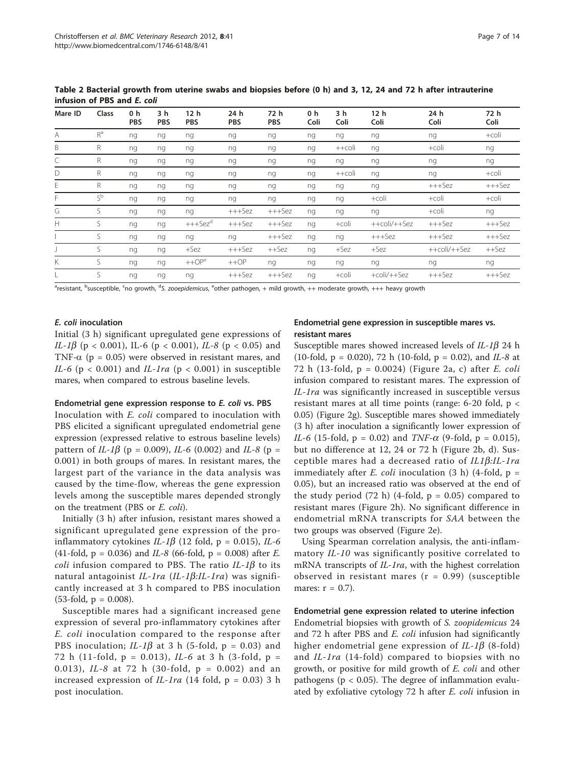| Mare ID | Class       | 0 <sub>h</sub><br><b>PBS</b> | 3 h<br><b>PBS</b> | 12 <sub>h</sub><br><b>PBS</b> | 24 h<br><b>PBS</b> | 72 h<br><b>PBS</b> | 0 <sub>h</sub><br>Coli | 3 h<br>Coli | 12 <sub>h</sub><br>Coli | 24 h<br>Coli | 72 h<br>Coli |
|---------|-------------|------------------------------|-------------------|-------------------------------|--------------------|--------------------|------------------------|-------------|-------------------------|--------------|--------------|
| A       | $R^a$       | ng                           | ng                | ng                            | ng                 | ng                 | ng                     | ng          | ng                      | ng           | $+$ coli     |
| B       | R           | ng                           | ng                | ng                            | ng                 | ng                 | ng                     | $+$ coli    | ng                      | $+$ coli     | ng           |
| C       | R           | ng                           | ng                | ng                            | ng                 | ng                 | ng                     | ng          | ng                      | ng           | ng           |
| D       | R           | ng                           | ng                | ng                            | ng                 | ng                 | ng                     | $+$ coli    | ng                      | ng           | +coli        |
| F       | R           | ng                           | ng                | ng                            | ng                 | ng                 | ng                     | ng          | ng                      | $+++$ Sez    | $+++Sez$     |
| F       | $S^{\rm b}$ | ng                           | ng                | ng                            | ng                 | ng                 | ng                     | ng          | $+$ coli                | $+$ coli     | $+$ coli     |
| G       | S           | ng                           | ng                | ng                            | $+++Sez$           | $+++Sez$           | ng                     | ng          | ng                      | $+$ coli     | ng           |
| H       | S           | ng                           | ng                | $+++Sez^d$                    | $+++Sez$           | $+++Sez$           | ng                     | $+$ coli    | ++coli/++Sez            | $+++$ Sez    | $+++Sez$     |
|         | S           | ng                           | ng                | ng                            | ng                 | $+++Sez$           | ng                     | ng          | $+++Sez$                | $+++Sez$     | $+++Sez$     |
|         | S.          | ng                           | ng                | $+$ Sez                       | $+++Sez$           | $++$ Sez           | ng                     | $+$ Sez     | $+$ Sez                 | ++coli/++Sez | $++$ Sez     |
| K       | S           | ng                           | ng                | $+$ + $OPe$                   | $++OP$             | ng                 | ng                     | ng          | ng                      | ng           | ng           |
|         | S           | ng                           | ng                | ng                            | $+++$ Sez          | $+++Sez$           | ng                     | $+$ coli    | +coli/++Sez             | $+++$ Sez    | $+++$ Sez    |

<span id="page-6-0"></span>Table 2 Bacterial growth from uterine swabs and biopsies before (0 h) and 3, 12, 24 and 72 h after intrauterine infusion of PBS and E. coli

<sup>a</sup>resistant, <sup>b</sup>susceptible, <sup>c</sup>no growth, <sup>d</sup>S. zooepidemicus, <sup>e</sup>other pathogen, + mild growth, ++ moderate growth, +++ heavy growth

## E. coli inoculation

Initial (3 h) significant upregulated gene expressions of *IL-1β* ( $p < 0.001$ ), IL-6 ( $p < 0.001$ ), *IL-8* ( $p < 0.05$ ) and TNF- $\alpha$  (p = 0.05) were observed in resistant mares, and IL-6 (p < 0.001) and IL-1ra (p < 0.001) in susceptible mares, when compared to estrous baseline levels.

#### Endometrial gene expression response to E. coli vs. PBS

Inoculation with E. coli compared to inoculation with PBS elicited a significant upregulated endometrial gene expression (expressed relative to estrous baseline levels) pattern of IL-1 $\beta$  (p = 0.009), IL-6 (0.002) and IL-8 (p = 0.001) in both groups of mares. In resistant mares, the largest part of the variance in the data analysis was caused by the time-flow, whereas the gene expression levels among the susceptible mares depended strongly on the treatment (PBS or E. coli).

Initially (3 h) after infusion, resistant mares showed a significant upregulated gene expression of the proinflammatory cytokines  $IL-I\beta$  (12 fold, p = 0.015),  $IL-6$ (41-fold,  $p = 0.036$ ) and *IL-8* (66-fold,  $p = 0.008$ ) after *E*. coli infusion compared to PBS. The ratio  $IL-I\beta$  to its natural antagoinist IL-1ra (IL-1 $\beta$ :IL-1ra) was significantly increased at 3 h compared to PBS inoculation  $(53\text{-fold}, p = 0.008).$ 

Susceptible mares had a significant increased gene expression of several pro-inflammatory cytokines after E. coli inoculation compared to the response after PBS inoculation;  $IL-I\beta$  at 3 h (5-fold, p = 0.03) and 72 h (11-fold,  $p = 0.013$ ), *IL*-6 at 3 h (3-fold,  $p =$ 0.013), IL-8 at 72 h (30-fold, p = 0.002) and an increased expression of *IL-1ra* (14 fold,  $p = 0.03$ ) 3 h post inoculation.

#### Endometrial gene expression in susceptible mares vs. resistant mares

Susceptible mares showed increased levels of  $IL-1\beta$  24 h (10-fold,  $p = 0.020$ ), 72 h (10-fold,  $p = 0.02$ ), and IL-8 at 72 h (13-fold,  $p = 0.0024$ ) (Figure [2a, c](#page-7-0)) after *E. coli* infusion compared to resistant mares. The expression of IL-1ra was significantly increased in susceptible versus resistant mares at all time points (range: 6-20 fold, p < 0.05) (Figure [2g\)](#page-7-0). Susceptible mares showed immediately (3 h) after inoculation a significantly lower expression of IL-6 (15-fold,  $p = 0.02$ ) and TNF- $\alpha$  (9-fold,  $p = 0.015$ ), but no difference at 12, 24 or 72 h (Figure [2b, d](#page-7-0)). Susceptible mares had a decreased ratio of  $IL1\beta: IL-1ra$ immediately after *E. coli* inoculation  $(3 h)$   $(4-fold, p =$ 0.05), but an increased ratio was observed at the end of the study period  $(72 h)$  (4-fold,  $p = 0.05$ ) compared to resistant mares (Figure [2h\)](#page-7-0). No significant difference in endometrial mRNA transcripts for SAA between the two groups was observed (Figure [2e\)](#page-7-0).

Using Spearman correlation analysis, the anti-inflammatory IL-10 was significantly positive correlated to mRNA transcripts of IL-1ra, with the highest correlation observed in resistant mares  $(r = 0.99)$  (susceptible mares:  $r = 0.7$ ).

#### Endometrial gene expression related to uterine infection

Endometrial biopsies with growth of S. zoopidemicus 24 and 72 h after PBS and *E. coli* infusion had significantly higher endometrial gene expression of  $IL-1\beta$  (8-fold) and IL-1ra (14-fold) compared to biopsies with no growth, or positive for mild growth of E. coli and other pathogens ( $p < 0.05$ ). The degree of inflammation evaluated by exfoliative cytology 72 h after E. coli infusion in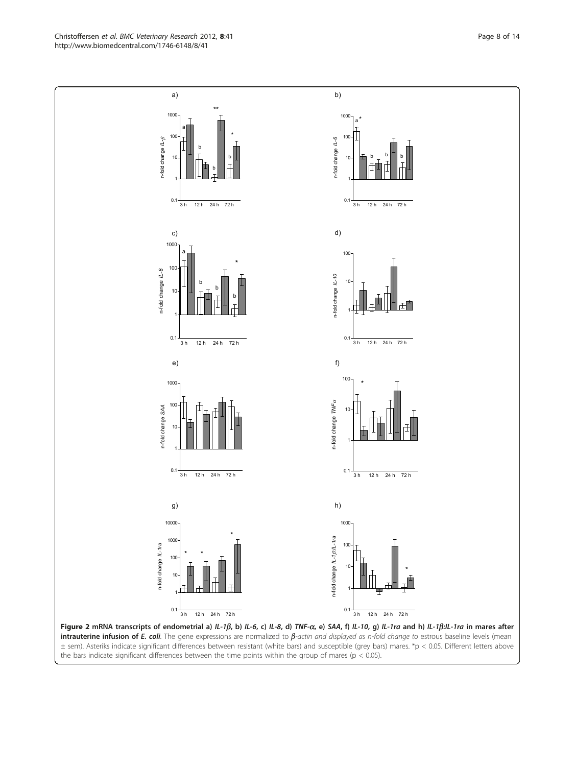Figure 2 mRNA transcripts of endometrial a) IL-1 $\beta$ , b) IL-6, c) IL-8, d) TNF- $\alpha$ , e) SAA, f) IL-10, g) IL-1ra and h) IL-1 $\beta$ :IL-1ra in mares after intrauterine infusion of E. coli. The gene expressions are normalized to  $\beta$ -actin and displayed as n-fold change to estrous baseline levels (mean ± sem). Asteriks indicate significant differences between resistant (white bars) and susceptible (grey bars) mares. \*p < 0.05. Different letters above the bars indicate significant differences between the time points within the group of mares ( $p < 0.05$ ).

<span id="page-7-0"></span>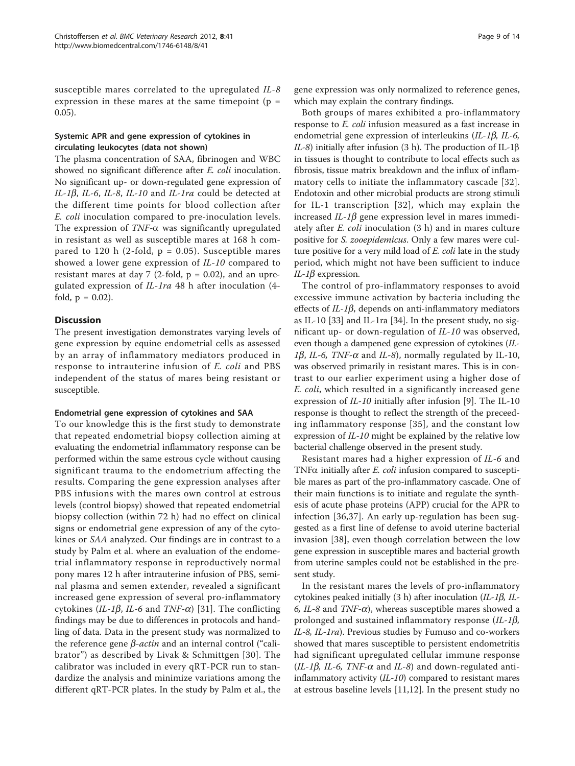susceptible mares correlated to the upregulated IL-8 expression in these mares at the same timepoint ( $p =$ 0.05).

## Systemic APR and gene expression of cytokines in circulating leukocytes (data not shown)

The plasma concentration of SAA, fibrinogen and WBC showed no significant difference after *E. coli* inoculation. No significant up- or down-regulated gene expression of IL-1 $\beta$ , IL-6, IL-8, IL-10 and IL-1ra could be detected at the different time points for blood collection after E. coli inoculation compared to pre-inoculation levels. The expression of  $TNF$ - $\alpha$  was significantly upregulated in resistant as well as susceptible mares at 168 h compared to 120 h (2-fold,  $p = 0.05$ ). Susceptible mares showed a lower gene expression of IL-10 compared to resistant mares at day 7 (2-fold,  $p = 0.02$ ), and an upregulated expression of IL-1ra 48 h after inoculation (4 fold,  $p = 0.02$ ).

## **Discussion**

The present investigation demonstrates varying levels of gene expression by equine endometrial cells as assessed by an array of inflammatory mediators produced in response to intrauterine infusion of E. coli and PBS independent of the status of mares being resistant or susceptible.

## Endometrial gene expression of cytokines and SAA

To our knowledge this is the first study to demonstrate that repeated endometrial biopsy collection aiming at evaluating the endometrial inflammatory response can be performed within the same estrous cycle without causing significant trauma to the endometrium affecting the results. Comparing the gene expression analyses after PBS infusions with the mares own control at estrous levels (control biopsy) showed that repeated endometrial biopsy collection (within 72 h) had no effect on clinical signs or endometrial gene expression of any of the cytokines or SAA analyzed. Our findings are in contrast to a study by Palm et al. where an evaluation of the endometrial inflammatory response in reproductively normal pony mares 12 h after intrauterine infusion of PBS, seminal plasma and semen extender, revealed a significant increased gene expression of several pro-inflammatory cytokines (IL-1 $\beta$ , IL-6 and TNF- $\alpha$ ) [[31\]](#page-12-0). The conflicting findings may be due to differences in protocols and handling of data. Data in the present study was normalized to the reference gene  $\beta$ -*actin* and an internal control ("calibrator") as described by Livak & Schmittgen [[30\]](#page-12-0). The calibrator was included in every qRT-PCR run to standardize the analysis and minimize variations among the different qRT-PCR plates. In the study by Palm et al., the

gene expression was only normalized to reference genes, which may explain the contrary findings.

Both groups of mares exhibited a pro-inflammatory response to E. coli infusion measured as a fast increase in endometrial gene expression of interleukins  $(IL-1\beta, IL-6,$ IL-8) initially after infusion (3 h). The production of IL-1 $\beta$ in tissues is thought to contribute to local effects such as fibrosis, tissue matrix breakdown and the influx of inflammatory cells to initiate the inflammatory cascade [[32\]](#page-12-0). Endotoxin and other microbial products are strong stimuli for IL-1 transcription [[32\]](#page-12-0), which may explain the increased  $IL-1\beta$  gene expression level in mares immediately after E. coli inoculation (3 h) and in mares culture positive for S. zooepidemicus. Only a few mares were culture positive for a very mild load of E. coli late in the study period, which might not have been sufficient to induce  $IL-1\beta$  expression.

The control of pro-inflammatory responses to avoid excessive immune activation by bacteria including the effects of  $IL-1\beta$ , depends on anti-inflammatory mediators as IL-10 [\[33](#page-12-0)] and IL-1ra [[34](#page-12-0)]. In the present study, no significant up- or down-regulation of IL-10 was observed, even though a dampened gene expression of cytokines (IL-1 $\beta$ , IL-6, TNF- $\alpha$  and IL-8), normally regulated by IL-10, was observed primarily in resistant mares. This is in contrast to our earlier experiment using a higher dose of E. coli, which resulted in a significantly increased gene expression of IL-10 initially after infusion [\[9](#page-11-0)]. The IL-10 response is thought to reflect the strength of the preceeding inflammatory response [[35](#page-12-0)], and the constant low expression of IL-10 might be explained by the relative low bacterial challenge observed in the present study.

Resistant mares had a higher expression of IL-6 and TNF $\alpha$  initially after *E. coli* infusion compared to susceptible mares as part of the pro-inflammatory cascade. One of their main functions is to initiate and regulate the synthesis of acute phase proteins (APP) crucial for the APR to infection [[36,37](#page-12-0)]. An early up-regulation has been suggested as a first line of defense to avoid uterine bacterial invasion [[38](#page-12-0)], even though correlation between the low gene expression in susceptible mares and bacterial growth from uterine samples could not be established in the present study.

In the resistant mares the levels of pro-inflammatory cytokines peaked initially (3 h) after inoculation  $(IL-I\beta, IL-I\beta)$ 6, IL-8 and TNF- $\alpha$ ), whereas susceptible mares showed a prolonged and sustained inflammatory response  $(IL-1\beta,$ IL-8, IL-1ra). Previous studies by Fumuso and co-workers showed that mares susceptible to persistent endometritis had significant upregulated cellular immune response (IL-1 $\beta$ , IL-6, TNF- $\alpha$  and IL-8) and down-regulated antiinflammatory activity  $(IL-10)$  compared to resistant mares at estrous baseline levels [[11,12\]](#page-11-0). In the present study no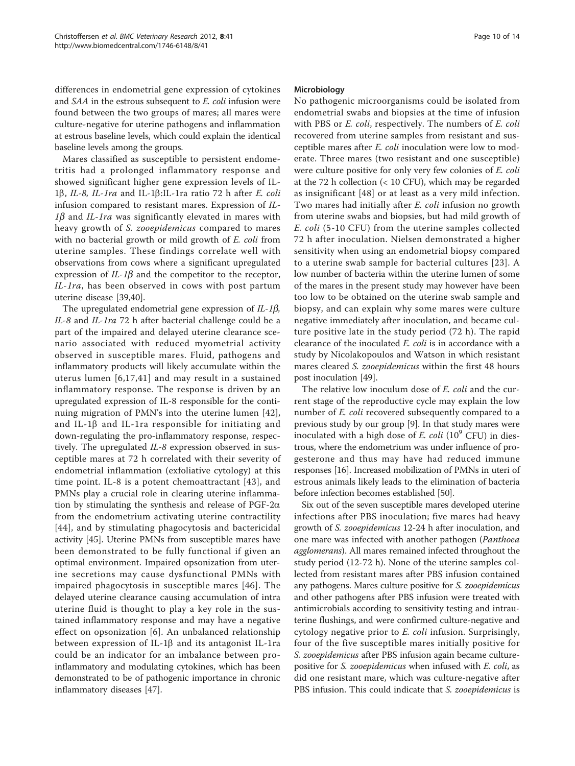differences in endometrial gene expression of cytokines and SAA in the estrous subsequent to E. coli infusion were found between the two groups of mares; all mares were culture-negative for uterine pathogens and inflammation at estrous baseline levels, which could explain the identical baseline levels among the groups.

Mares classified as susceptible to persistent endometritis had a prolonged inflammatory response and showed significant higher gene expression levels of IL-1 $\beta$ , IL-8, IL-1ra and IL-1 $\beta$ :IL-1ra ratio 72 h after E. coli infusion compared to resistant mares. Expression of IL- $1\beta$  and IL-1ra was significantly elevated in mares with heavy growth of S. zooepidemicus compared to mares with no bacterial growth or mild growth of E. coli from uterine samples. These findings correlate well with observations from cows where a significant upregulated expression of  $IL-I\beta$  and the competitor to the receptor, IL-1ra, has been observed in cows with post partum uterine disease [\[39,40](#page-12-0)].

The upregulated endometrial gene expression of  $IL-1\beta$ , IL-8 and IL-1ra 72 h after bacterial challenge could be a part of the impaired and delayed uterine clearance scenario associated with reduced myometrial activity observed in susceptible mares. Fluid, pathogens and inflammatory products will likely accumulate within the uterus lumen [[6](#page-11-0),[17](#page-12-0),[41](#page-12-0)] and may result in a sustained inflammatory response. The response is driven by an upregulated expression of IL-8 responsible for the continuing migration of PMN's into the uterine lumen [[42](#page-12-0)], and IL-1 $\beta$  and IL-1ra responsible for initiating and down-regulating the pro-inflammatory response, respectively. The upregulated IL-8 expression observed in susceptible mares at 72 h correlated with their severity of endometrial inflammation (exfoliative cytology) at this time point. IL-8 is a potent chemoattractant [[43\]](#page-12-0), and PMNs play a crucial role in clearing uterine inflammation by stimulating the synthesis and release of PGF-2 $\alpha$ from the endometrium activating uterine contractility [[44](#page-12-0)], and by stimulating phagocytosis and bactericidal activity [\[45\]](#page-12-0). Uterine PMNs from susceptible mares have been demonstrated to be fully functional if given an optimal environment. Impaired opsonization from uterine secretions may cause dysfunctional PMNs with impaired phagocytosis in susceptible mares [[46](#page-12-0)]. The delayed uterine clearance causing accumulation of intra uterine fluid is thought to play a key role in the sustained inflammatory response and may have a negative effect on opsonization [[6\]](#page-11-0). An unbalanced relationship between expression of IL-1 $\beta$  and its antagonist IL-1ra could be an indicator for an imbalance between proinflammatory and modulating cytokines, which has been demonstrated to be of pathogenic importance in chronic inflammatory diseases [\[47\]](#page-12-0).

#### Microbiology

No pathogenic microorganisms could be isolated from endometrial swabs and biopsies at the time of infusion with PBS or *E. coli*, respectively. The numbers of *E. coli* recovered from uterine samples from resistant and susceptible mares after E. coli inoculation were low to moderate. Three mares (two resistant and one susceptible) were culture positive for only very few colonies of E. coli at the 72 h collection (< 10 CFU), which may be regarded as insignificant [[48](#page-12-0)] or at least as a very mild infection. Two mares had initially after E. coli infusion no growth from uterine swabs and biopsies, but had mild growth of E. coli (5-10 CFU) from the uterine samples collected 72 h after inoculation. Nielsen demonstrated a higher sensitivity when using an endometrial biopsy compared to a uterine swab sample for bacterial cultures [\[23\]](#page-12-0). A low number of bacteria within the uterine lumen of some of the mares in the present study may however have been too low to be obtained on the uterine swab sample and biopsy, and can explain why some mares were culture negative immediately after inoculation, and became culture positive late in the study period (72 h). The rapid clearance of the inoculated E. coli is in accordance with a study by Nicolakopoulos and Watson in which resistant mares cleared *S. zooepidemicus* within the first 48 hours post inoculation [\[49](#page-12-0)].

The relative low inoculum dose of E. coli and the current stage of the reproductive cycle may explain the low number of *E. coli* recovered subsequently compared to a previous study by our group [[9\]](#page-11-0). In that study mares were inoculated with a high dose of E. coli  $(10^9 \text{ CFU})$  in diestrous, where the endometrium was under influence of progesterone and thus may have had reduced immune responses [\[16\]](#page-12-0). Increased mobilization of PMNs in uteri of estrous animals likely leads to the elimination of bacteria before infection becomes established [\[50\]](#page-12-0).

Six out of the seven susceptible mares developed uterine infections after PBS inoculation; five mares had heavy growth of S. zooepidemicus 12-24 h after inoculation, and one mare was infected with another pathogen (Panthoea agglomerans). All mares remained infected throughout the study period (12-72 h). None of the uterine samples collected from resistant mares after PBS infusion contained any pathogens. Mares culture positive for S. zooepidemicus and other pathogens after PBS infusion were treated with antimicrobials according to sensitivity testing and intrauterine flushings, and were confirmed culture-negative and cytology negative prior to E. coli infusion. Surprisingly, four of the five susceptible mares initially positive for S. zooepidemicus after PBS infusion again became culturepositive for S. zooepidemicus when infused with E. coli, as did one resistant mare, which was culture-negative after PBS infusion. This could indicate that S. zooepidemicus is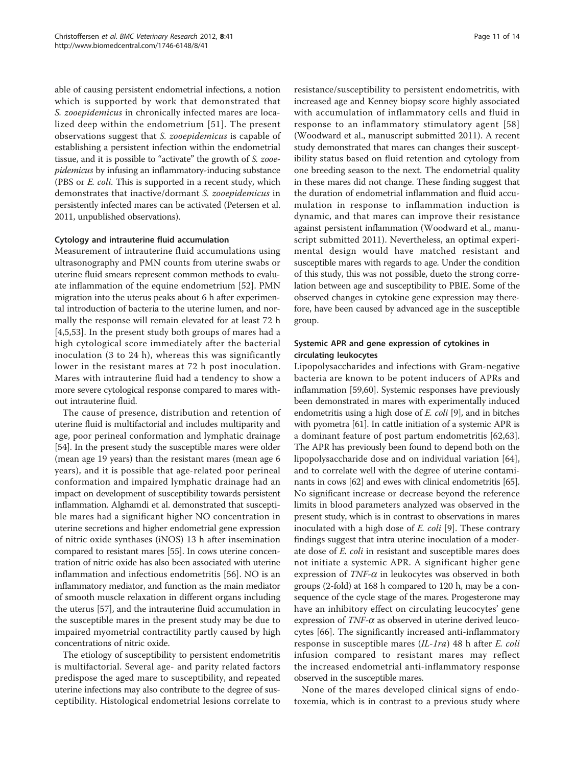able of causing persistent endometrial infections, a notion which is supported by work that demonstrated that S. zooepidemicus in chronically infected mares are localized deep within the endometrium [\[51\]](#page-12-0). The present observations suggest that S. zooepidemicus is capable of establishing a persistent infection within the endometrial tissue, and it is possible to "activate" the growth of S. zooepidemicus by infusing an inflammatory-inducing substance (PBS or E. coli. This is supported in a recent study, which demonstrates that inactive/dormant S. zooepidemicus in persistently infected mares can be activated (Petersen et al. 2011, unpublished observations).

## Cytology and intrauterine fluid accumulation

Measurement of intrauterine fluid accumulations using ultrasonography and PMN counts from uterine swabs or uterine fluid smears represent common methods to evaluate inflammation of the equine endometrium [\[52](#page-12-0)]. PMN migration into the uterus peaks about 6 h after experimental introduction of bacteria to the uterine lumen, and normally the response will remain elevated for at least 72 h [[4,5,](#page-11-0)[53\]](#page-12-0). In the present study both groups of mares had a high cytological score immediately after the bacterial inoculation (3 to 24 h), whereas this was significantly lower in the resistant mares at 72 h post inoculation. Mares with intrauterine fluid had a tendency to show a more severe cytological response compared to mares without intrauterine fluid.

The cause of presence, distribution and retention of uterine fluid is multifactorial and includes multiparity and age, poor perineal conformation and lymphatic drainage [[54](#page-12-0)]. In the present study the susceptible mares were older (mean age 19 years) than the resistant mares (mean age 6 years), and it is possible that age-related poor perineal conformation and impaired lymphatic drainage had an impact on development of susceptibility towards persistent inflammation. Alghamdi et al. demonstrated that susceptible mares had a significant higher NO concentration in uterine secretions and higher endometrial gene expression of nitric oxide synthases (iNOS) 13 h after insemination compared to resistant mares [\[55\]](#page-12-0). In cows uterine concentration of nitric oxide has also been associated with uterine inflammation and infectious endometritis [[56\]](#page-12-0). NO is an inflammatory mediator, and function as the main mediator of smooth muscle relaxation in different organs including the uterus [\[57](#page-12-0)], and the intrauterine fluid accumulation in the susceptible mares in the present study may be due to impaired myometrial contractility partly caused by high concentrations of nitric oxide.

The etiology of susceptibility to persistent endometritis is multifactorial. Several age- and parity related factors predispose the aged mare to susceptibility, and repeated uterine infections may also contribute to the degree of susceptibility. Histological endometrial lesions correlate to resistance/susceptibility to persistent endometritis, with increased age and Kenney biopsy score highly associated with accumulation of inflammatory cells and fluid in response to an inflammatory stimulatory agent [[58](#page-12-0)] (Woodward et al., manuscript submitted 2011). A recent study demonstrated that mares can changes their susceptibility status based on fluid retention and cytology from one breeding season to the next. The endometrial quality in these mares did not change. These finding suggest that the duration of endometrial inflammation and fluid accumulation in response to inflammation induction is dynamic, and that mares can improve their resistance against persistent inflammation (Woodward et al., manuscript submitted 2011). Nevertheless, an optimal experimental design would have matched resistant and susceptible mares with regards to age. Under the condition of this study, this was not possible, dueto the strong correlation between age and susceptibility to PBIE. Some of the observed changes in cytokine gene expression may therefore, have been caused by advanced age in the susceptible group.

## Systemic APR and gene expression of cytokines in circulating leukocytes

Lipopolysaccharides and infections with Gram-negative bacteria are known to be potent inducers of APRs and inflammation [\[59,60\]](#page-13-0). Systemic responses have previously been demonstrated in mares with experimentally induced endometritis using a high dose of *E. coli* [\[9\]](#page-11-0), and in bitches with pyometra [[61](#page-13-0)]. In cattle initiation of a systemic APR is a dominant feature of post partum endometritis [[62,63](#page-13-0)]. The APR has previously been found to depend both on the lipopolysaccharide dose and on individual variation [\[64](#page-13-0)], and to correlate well with the degree of uterine contaminants in cows [\[62\]](#page-13-0) and ewes with clinical endometritis [\[65](#page-13-0)]. No significant increase or decrease beyond the reference limits in blood parameters analyzed was observed in the present study, which is in contrast to observations in mares inoculated with a high dose of E. coli [\[9](#page-11-0)]. These contrary findings suggest that intra uterine inoculation of a moderate dose of E. coli in resistant and susceptible mares does not initiate a systemic APR. A significant higher gene expression of  $TNF-\alpha$  in leukocytes was observed in both groups (2-fold) at 168 h compared to 120 h, may be a consequence of the cycle stage of the mares. Progesterone may have an inhibitory effect on circulating leucocytes' gene expression of  $TNF-\alpha$  as observed in uterine derived leucocytes [\[66](#page-13-0)]. The significantly increased anti-inflammatory response in susceptible mares (IL-1ra) 48 h after E. coli infusion compared to resistant mares may reflect the increased endometrial anti-inflammatory response observed in the susceptible mares.

None of the mares developed clinical signs of endotoxemia, which is in contrast to a previous study where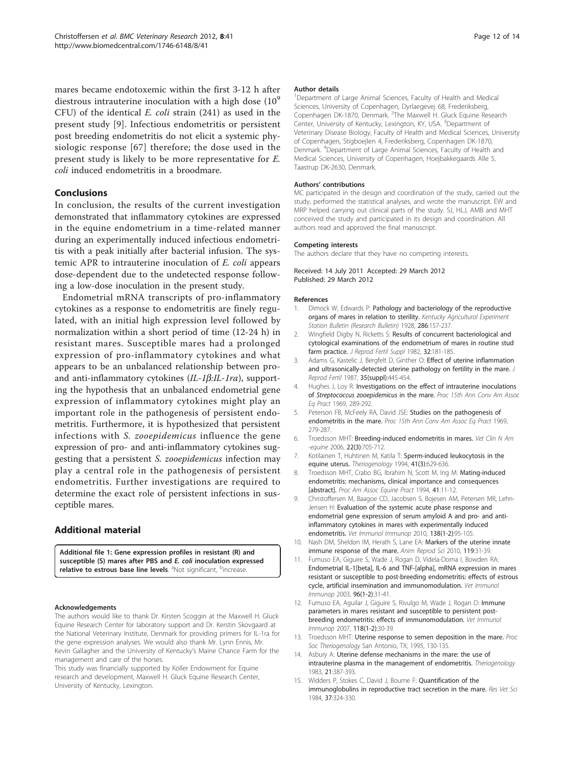<span id="page-11-0"></span>mares became endotoxemic within the first 3-12 h after diestrous intrauterine inoculation with a high dose  $(10^9)$ CFU) of the identical E. coli strain (241) as used in the present study [9]. Infectious endometritis or persistent post breeding endometritis do not elicit a systemic physiologic response [\[67\]](#page-13-0) therefore; the dose used in the present study is likely to be more representative for E. coli induced endometritis in a broodmare.

## Conclusions

In conclusion, the results of the current investigation demonstrated that inflammatory cytokines are expressed in the equine endometrium in a time-related manner during an experimentally induced infectious endometritis with a peak initially after bacterial infusion. The systemic APR to intrauterine inoculation of E. coli appears dose-dependent due to the undetected response following a low-dose inoculation in the present study.

Endometrial mRNA transcripts of pro-inflammatory cytokines as a response to endometritis are finely regulated, with an initial high expression level followed by normalization within a short period of time (12-24 h) in resistant mares. Susceptible mares had a prolonged expression of pro-inflammatory cytokines and what appears to be an unbalanced relationship between proand anti-inflammatory cytokines  $(IL-I\beta:IL-Ira)$ , supporting the hypothesis that an unbalanced endometrial gene expression of inflammatory cytokines might play an important role in the pathogenesis of persistent endometritis. Furthermore, it is hypothesized that persistent infections with S. zooepidemicus influence the gene expression of pro- and anti-inflammatory cytokines suggesting that a persistent S. zooepidemicus infection may play a central role in the pathogenesis of persistent endometritis. Further investigations are required to determine the exact role of persistent infections in susceptible mares.

## Additional material

[Additional file 1: G](http://www.biomedcentral.com/content/supplementary/1746-6148-8-41-S1.DOC)ene expression profiles in resistant (R) and susceptible (S) mares after PBS and E. coli inoculation expressed relative to estrous base line levels. <sup>a</sup>Not significant, <sup>b</sup>increase.

#### Acknowledgements

The authors would like to thank Dr. Kirsten Scoggin at the Maxwell H. Gluck Equine Research Center for laboratory support and Dr. Kerstin Skovgaard at the National Veterinary Institute, Denmark for providing primers for IL-1ra for the gene expression analyses. We would also thank Mr. Lynn Ennis, Mr. Kevin Gallagher and the University of Kentucky's Maine Chance Farm for the management and care of the horses.

This study was financially supported by Koller Endowment for Equine research and development, Maxwell H. Gluck Equine Research Center, University of Kentucky, Lexington.

#### Author details

<sup>1</sup>Department of Large Animal Sciences, Faculty of Health and Medical Sciences, University of Copenhagen, Dyrlaegevej 68, Frederiksberg, Copenhagen DK-1870, Denmark. <sup>2</sup>The Maxwell H. Gluck Equine Research Center, University of Kentucky, Lexington, KY, USA. <sup>3</sup>Department of Veterinary Disease Biology, Faculty of Health and Medical Sciences, University of Copenhagen, Stigboejlen 4, Frederiksberg, Copenhagen DK-1870, Denmark. <sup>4</sup> Department of Large Animal Sciences, Faculty of Health and Medical Sciences, University of Copenhagen, Hoejbakkegaards Alle 5, Taastrup DK-2630, Denmark.

#### Authors' contributions

MC participated in the design and coordination of the study, carried out the study, performed the statistical analyses, and wrote the manuscript. EW and MRP helped carrying out clinical parts of the study. SJ, HLJ, AMB and MHT conceived the study and participated in its design and coordination. All authors read and approved the final manuscript.

#### Competing interests

The authors declare that they have no competing interests.

Received: 14 July 2011 Accepted: 29 March 2012 Published: 29 March 2012

#### References

- 1. Dimock W, Edwards P: Pathology and bacteriology of the reproductive organs of mares in relation to sterility. Kentucky Agricultural Experiment Station Bulletin (Research Bulletin) 1928, 286:157-237.
- 2. Wingfield Digby N, Ricketts S: [Results of concurrent bacteriological and](http://www.ncbi.nlm.nih.gov/pubmed/6962852?dopt=Abstract) [cytological examinations of the endometrium of mares in routine stud](http://www.ncbi.nlm.nih.gov/pubmed/6962852?dopt=Abstract) [farm practice.](http://www.ncbi.nlm.nih.gov/pubmed/6962852?dopt=Abstract) J Reprod Fertil Suppl 1982, 32:181-185.
- Adams G, Kastelic J, Bergfelt D, Ginther O: Effect of uterine inflammation and ultrasonically-detected uterine pathology on fertility in the mare. J Reprod Fertil 1987, 35(suppl):445-454.
- Hughes J, Loy R: Investigations on the effect of intrauterine inoculations of Streptococcus zooepidemicus in the mare. Proc 15th Ann Conv Am Assoc Eq Pract 1969, 289-292.
- 5. Peterson FB, McFeely RA, David JSE: Studies on the pathogenesis of endometritis in the mare. Proc 15th Ann Conv Am Assoc Eq Pract 1969, 279-287.
- 6. Troedsson MHT: Breeding-induced endometritis in mares. Vet Clin N Am -equine 2006, 22(3):705-712.
- 7. Kotilainen T, Huhtinen M, Katila T: [Sperm-induced leukocytosis in the](http://www.ncbi.nlm.nih.gov/pubmed/16727418?dopt=Abstract) [equine uterus.](http://www.ncbi.nlm.nih.gov/pubmed/16727418?dopt=Abstract) Theriogenology 1994, 41(3):629-636.
- 8. Troedsson MHT, Crabo BG, Ibrahim N, Scott M, Ing M: Mating-induced endometritis: mechanisms, clinical importance and consequences [abstract]. Proc Am Assoc Equine Pract 1994, 41:11-12.
- 9. Christoffersen M, Baagoe CD, Jacobsen S, Bojesen AM, Petersen MR, Lehn-Jensen H: Evaluation of the systemic acute phase response and endometrial gene expression of serum amyloid A and pro- and antiinflammatory cytokines in mares with experimentally induced endometritis. Vet Immunol Immunop 2010, 138(1-2):95-105.
- 10. Nash DM, Sheldon IM, Herath S, Lane EA: [Markers of the uterine innate](http://www.ncbi.nlm.nih.gov/pubmed/20022187?dopt=Abstract) [immune response of the mare.](http://www.ncbi.nlm.nih.gov/pubmed/20022187?dopt=Abstract) Anim Reprod Sci 2010, 119:31-39.
- 11. Fumuso EA, Giguire S, Wade J, Rogan D, Videla-Dorna I, Bowden RA: Endometrial IL-1[beta], IL-6 and TNF-[alpha], mRNA expression in mares resistant or susceptible to post-breeding endometritis: effects of estrous cycle, artificial insemination and immunomodulation. Vet Immunol Immunop 2003, 96(1-2):31-41.
- 12. Fumuso EA, Aguilar J, Giguire S, Rivulgo M, Wade J, Rogan D: Immune parameters in mares resistant and susceptible to persistent postbreeding endometritis: effects of immunomodulation. Vet Immunol Immunop 2007, 118(1-2):30-39.
- 13. Troedsson MHT: Uterine response to semen deposition in the mare. Proc Soc Theriogenology San Antonio, TX; 1995, 130-135.
- 14. Asbury A: Uterine defense mechanisms in the mare: the use of intrauterine plasma in the management of endometritis. Theriogenology 1983, 21:387-393.
- 15. Widders P, Stokes C, David J, Bourne F: [Quantification](http://www.ncbi.nlm.nih.gov/pubmed/6522826?dopt=Abstract) of the [immunoglobulins in reproductive tract secretion in the mare.](http://www.ncbi.nlm.nih.gov/pubmed/6522826?dopt=Abstract) Res Vet Sci 1984, 37:324-330.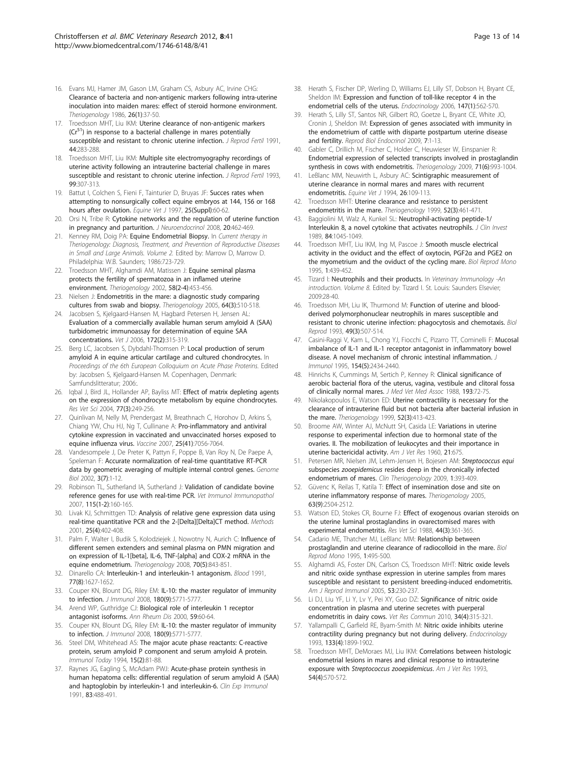- <span id="page-12-0"></span>16. Evans MJ, Hamer JM, Gason LM, Graham CS, Asbury AC, Irvine CHG: [Clearance of bacteria and non-antigenic markers following intra-uterine](http://www.ncbi.nlm.nih.gov/pubmed/16726168?dopt=Abstract) [inoculation into maiden mares: effect of steroid hormone environment.](http://www.ncbi.nlm.nih.gov/pubmed/16726168?dopt=Abstract) Theriogenology 1986, 26(1):37-50.
- 17. Troedsson MHT, Liu IKM: Uterine clearance of non-antigenic markers  $(Cr^{51})$  in response to a bacterial challenge in mares potentially susceptible and resistant to chronic uterine infection. J Reprod Fertil 1991, 44:283-288.
- 18. Troedsson MHT, Liu IKM: [Multiple site electromyography recordings of](http://www.ncbi.nlm.nih.gov/pubmed/8107011?dopt=Abstract) [uterine activity following an intrauterine bacterial challenge in mares](http://www.ncbi.nlm.nih.gov/pubmed/8107011?dopt=Abstract) [susceptible and resistant to chronic uterine infection.](http://www.ncbi.nlm.nih.gov/pubmed/8107011?dopt=Abstract) J Reprod Fertil 1993, 99:307-313.
- 19. Battut I, Colchen S, Fieni F, Tainturier D, Bruyas JF: Succes rates when attempting to nonsurgically collect equine embryos at 144, 156 or 168 hours after ovulation. Equine Vet J 1997, 25(Suppl):60-62
- 20. Orsi N, Tribe R: [Cytokine networks and the regulation of uterine function](http://www.ncbi.nlm.nih.gov/pubmed/18266939?dopt=Abstract) [in pregnancy and parturition.](http://www.ncbi.nlm.nih.gov/pubmed/18266939?dopt=Abstract) J Neuroendocrinol 2008, 20:462-469.
- 21. Kenney RM, Doig PA: Equine Endometrial Biopsy. In Current therapy in Theriogenology: Diagnosis, Treatment, and Prevention of Reproductive Diseases in Small and Large Animals. Volume 2. Edited by: Marrow D, Marrow D. Philadelphia: W.B. Saunders; 1986:723-729.
- 22. Troedsson MHT, Alghamdi AM, Matissen J: Equine seminal plasma protects the fertility of spermatozoa in an inflamed uterine environment. Theriogenology 2002, 58(2-4):453-456.
- 23. Nielsen J: [Endometritis in the mare: a diagnostic study comparing](http://www.ncbi.nlm.nih.gov/pubmed/15978661?dopt=Abstract) [cultures from swab and biopsy.](http://www.ncbi.nlm.nih.gov/pubmed/15978661?dopt=Abstract) Theriogenology 2005, 64(3):510-518.
- 24. Jacobsen S, Kjelgaard-Hansen M, Hagbard Petersen H, Jensen AL: [Evaluation of a commercially available human serum amyloid A \(SAA\)](http://www.ncbi.nlm.nih.gov/pubmed/15950503?dopt=Abstract) [turbidometric immunoassay for determination of equine SAA](http://www.ncbi.nlm.nih.gov/pubmed/15950503?dopt=Abstract) [concentrations.](http://www.ncbi.nlm.nih.gov/pubmed/15950503?dopt=Abstract) Vet J 2006, 172(2):315-319.
- 25. Berg LC, Jacobsen S, Dybdahl-Thomsen P: Local production of serum amyloid A in equine articular cartilage and cultured chondrocytes. In Proceedings of the 6th European Colloquium on Acute Phase Proterins. Edited by: Jacobsen S, Kjelgaard-Hansen M. Copenhagen, Denmark: Samfundslitteratur; 2006:.
- 26. Iqbal J, Bird JL, Hollander AP, Bayliss MT: [Effect of matrix depleting agents](http://www.ncbi.nlm.nih.gov/pubmed/15276777?dopt=Abstract) [on the expression of chondrocyte metabolism by equine chondrocytes.](http://www.ncbi.nlm.nih.gov/pubmed/15276777?dopt=Abstract) Res Vet Sci 2004, 77(3):249-256.
- 27. Quinlivan M, Nelly M, Prendergast M, Breathnach C, Horohov D, Arkins S, Chiang YW, Chu HJ, Ng T, Cullinane A: [Pro-inflammatory and antiviral](http://www.ncbi.nlm.nih.gov/pubmed/17825959?dopt=Abstract) [cytokine expression in vaccinated and unvaccinated horses exposed to](http://www.ncbi.nlm.nih.gov/pubmed/17825959?dopt=Abstract) [equine influenza virus.](http://www.ncbi.nlm.nih.gov/pubmed/17825959?dopt=Abstract) Vaccine 2007, 25(41):7056-7064.
- 28. Vandesompele J, De Preter K, Pattyn F, Poppe B, Van Roy N, De Paepe A, Speleman F: Accurate normalization of real-time quantitative RT-PCR data by geometric averaging of multiple internal control genes. Genome Biol 2002, 3(7):1-12.
- 29. Robinson TL, Sutherland IA, Sutherland J: [Validation of candidate bovine](http://www.ncbi.nlm.nih.gov/pubmed/17074403?dopt=Abstract) [reference genes for use with real-time PCR.](http://www.ncbi.nlm.nih.gov/pubmed/17074403?dopt=Abstract) Vet Immunol Immunopathol 2007, 115(1-2):160-165.
- 30. Livak KJ, Schmittgen TD: [Analysis of relative gene expression data using](http://www.ncbi.nlm.nih.gov/pubmed/11846609?dopt=Abstract) [real-time quantitative PCR and the 2-\[Delta\]\[Delta\]CT method.](http://www.ncbi.nlm.nih.gov/pubmed/11846609?dopt=Abstract) Methods 2001, 25(4):402-408.
- 31. Palm F, Walter I, Budik S, Kolodziejek J, Nowotny N, Aurich C: [Influence of](http://www.ncbi.nlm.nih.gov/pubmed/18584861?dopt=Abstract) [different semen extenders and seminal plasma on PMN migration and](http://www.ncbi.nlm.nih.gov/pubmed/18584861?dopt=Abstract) on [expression of IL-1\[beta\], IL-6, TNF-\[alpha\] and COX-2 mRNA in the](http://www.ncbi.nlm.nih.gov/pubmed/18584861?dopt=Abstract) [equine endometrium.](http://www.ncbi.nlm.nih.gov/pubmed/18584861?dopt=Abstract) Theriogenology 2008, 70(5):843-851.
- 32. Dinarello CA: [Interleukin-1 and interleukin-1 antagonism.](http://www.ncbi.nlm.nih.gov/pubmed/1826616?dopt=Abstract) Blood 1991, 77(8):1627-1652.
- 33. Couper KN, Blount DG, Riley EM: [IL-10: the master regulator of immunity](http://www.ncbi.nlm.nih.gov/pubmed/18424693?dopt=Abstract) [to infection.](http://www.ncbi.nlm.nih.gov/pubmed/18424693?dopt=Abstract) J Immunol 2008, 180(9):5771-5777.
- 34. Arend WP, Guthridge CJ: Biological role of interleukin 1 receptor antagonist isoforms. Ann Rheum Dis 2000, 59:60-64.
- 35. Couper KN, Blount DG, Riley EM: [IL-10: the master regulator of immunity](http://www.ncbi.nlm.nih.gov/pubmed/18424693?dopt=Abstract) [to infection.](http://www.ncbi.nlm.nih.gov/pubmed/18424693?dopt=Abstract) J Immunol 2008, 180(9):5771-5777.
- 36. Steel DM, Whitehead AS: [The major acute phase reactants: C-reactive](http://www.ncbi.nlm.nih.gov/pubmed/8155266?dopt=Abstract) [protein, serum amyloid P component and serum amyloid A protein.](http://www.ncbi.nlm.nih.gov/pubmed/8155266?dopt=Abstract) Immunol Today 1994, 15(2):81-88.
- 37. Raynes JG, Eagling S, McAdam PWJ: [Acute-phase protein synthesis in](http://www.ncbi.nlm.nih.gov/pubmed/1706240?dopt=Abstract) [human hepatoma cells: differential regulation of serum amyloid A \(SAA\)](http://www.ncbi.nlm.nih.gov/pubmed/1706240?dopt=Abstract) [and haptoglobin by interleukin-1 and interleukin-6.](http://www.ncbi.nlm.nih.gov/pubmed/1706240?dopt=Abstract) Clin Exp Immunol 1991, 83:488-491.
- 38. Herath S, Fischer DP, Werling D, Williams EJ, Lilly ST, Dobson H, Bryant CE, Sheldon IM: [Expression and function of toll-like receptor 4 in the](http://www.ncbi.nlm.nih.gov/pubmed/16223858?dopt=Abstract) [endometrial cells of the uterus.](http://www.ncbi.nlm.nih.gov/pubmed/16223858?dopt=Abstract) Endocrinology 2006, 147(1):562-570.
- 39. Herath S, Lilly ST, Santos NR, Gilbert RO, Goetze L, Bryant CE, White JO, Cronin J, Sheldon IM: [Expression of genes associated with immunity in](http://www.ncbi.nlm.nih.gov/pubmed/19133142?dopt=Abstract) [the endometrium of cattle with disparte postpartum uterine disease](http://www.ncbi.nlm.nih.gov/pubmed/19133142?dopt=Abstract) [and fertility.](http://www.ncbi.nlm.nih.gov/pubmed/19133142?dopt=Abstract) Reprod Biol Endocrinol 2009, 7:1-13.
- 40. Gabler C, Drillich M, Fischer C, Holder C, Heuwieser W, Einspanier R: [Endometrial expression of selected transcripts involved in prostaglandin](http://www.ncbi.nlm.nih.gov/pubmed/19162311?dopt=Abstract) [synthesis in cows with endometritis.](http://www.ncbi.nlm.nih.gov/pubmed/19162311?dopt=Abstract) Theriogenology 2009, 71(6):993-1004.
- 41. LeBlanc MM, Neuwirth L, Asbury AC: [Scintigraphic measurement of](http://www.ncbi.nlm.nih.gov/pubmed/8575370?dopt=Abstract) [uterine clearance in normal mares and mares with recurrent](http://www.ncbi.nlm.nih.gov/pubmed/8575370?dopt=Abstract) [endometritis.](http://www.ncbi.nlm.nih.gov/pubmed/8575370?dopt=Abstract) Fauine Vet 1 1994, 26:109-113.
- 42. Troedsson MHT: [Uterine clearance and resistance to persistent](http://www.ncbi.nlm.nih.gov/pubmed/10734380?dopt=Abstract) [endometritis in the mare.](http://www.ncbi.nlm.nih.gov/pubmed/10734380?dopt=Abstract) Theriogenology 1999, 52(3):461-471.
- 43. Baggiolini M, Walz A, Kunkel SL: [Neutrophil-activating peptide-1/](http://www.ncbi.nlm.nih.gov/pubmed/2677047?dopt=Abstract) [Interleukin 8, a novel cytokine that activates neutrophils.](http://www.ncbi.nlm.nih.gov/pubmed/2677047?dopt=Abstract) J Clin Invest 1989, 84:1045-1049.
- Troedsson MHT, Liu IKM, Ing M, Pascoe J: Smooth muscle electrical activity in the oviduct and the effect of oxytocin, PGF2α and PGE2 on the myometrium and the oviduct of the cycling mare. Biol Reprod Mono 1995, 1:439-452.
- 45. Tizard I: Neutrophils and their products. In Veterinary Immunology -An introduction. Volume 8. Edited by: Tizard I. St. Louis: Saunders Elsevier; 2009:28-40.
- 46. Troedsson MH, Liu IK, Thurmond M: [Function of uterine and blood](http://www.ncbi.nlm.nih.gov/pubmed/8399843?dopt=Abstract)[derived polymorphonuclear neutrophils in mares susceptible and](http://www.ncbi.nlm.nih.gov/pubmed/8399843?dopt=Abstract) [resistant to chronic uterine infection: phagocytosis and chemotaxis.](http://www.ncbi.nlm.nih.gov/pubmed/8399843?dopt=Abstract) Biol Reprod 1993, 49(3):507-514.
- 47. Casini-Raggi V, Kam L, Chong YJ, Fiocchi C, Pizarro TT, Cominelli F: [Mucosal](http://www.ncbi.nlm.nih.gov/pubmed/7868909?dopt=Abstract) [imbalance of IL-1 and IL-1 receptor antagonist in inflammatory bowel](http://www.ncbi.nlm.nih.gov/pubmed/7868909?dopt=Abstract) [disease. A novel mechanism of chronic intestinal inflammation.](http://www.ncbi.nlm.nih.gov/pubmed/7868909?dopt=Abstract) J Immunol 1995, 154(5):2434-2440.
- 48. Hinrichs K, Cummings M, Sertich P, Kenney R: Clinical significance of aerobic bacterial flora of the uterus, vagina, vestibule and clitoral fossa of clinically normal mares. J Med Vet Med Assoc 1988, 193:72-75.
- 49. Nikolakopoulos E, Watson ED: [Uterine contractility is necessary for the](http://www.ncbi.nlm.nih.gov/pubmed/10734376?dopt=Abstract) [clearance of intrauterine fluid but not bacteria after bacterial infusion in](http://www.ncbi.nlm.nih.gov/pubmed/10734376?dopt=Abstract) [the mare.](http://www.ncbi.nlm.nih.gov/pubmed/10734376?dopt=Abstract) Theriogenology 1999, 52(3):413-423.
- 50. Broome AW, Winter AJ, McNutt SH, Casida LE: [Variations in uterine](http://www.ncbi.nlm.nih.gov/pubmed/13804803?dopt=Abstract) [response to experimental infection due to hormonal state of the](http://www.ncbi.nlm.nih.gov/pubmed/13804803?dopt=Abstract) [ovaries. II. The mobilization of leukocytes and their importance in](http://www.ncbi.nlm.nih.gov/pubmed/13804803?dopt=Abstract) [uterine bactericidal activity.](http://www.ncbi.nlm.nih.gov/pubmed/13804803?dopt=Abstract) Am J Vet Res 1960, 21:675.
- 51. Petersen MR, Nielsen JM, Lehm-Jensen H, Bojesen AM: Streptococcus equi subspecies zooepidemicus resides deep in the chronically infected endometrium of mares. Clin Theriogenology 2009, 1:393-409.
- 52. Güvenc K, Reilas T, Katila T: [Effect of insemination dose and site on](http://www.ncbi.nlm.nih.gov/pubmed/15910930?dopt=Abstract) [uterine inflammatory response of mares.](http://www.ncbi.nlm.nih.gov/pubmed/15910930?dopt=Abstract) Theriogenology 2005, 63(9):2504-2512.
- 53. Watson ED, Stokes CR, Bourne FJ: [Effect of exogenous ovarian steroids on](http://www.ncbi.nlm.nih.gov/pubmed/3165540?dopt=Abstract) [the uterine luminal prostaglandins in ovarectomised mares with](http://www.ncbi.nlm.nih.gov/pubmed/3165540?dopt=Abstract) [experimental endometritis.](http://www.ncbi.nlm.nih.gov/pubmed/3165540?dopt=Abstract) Res Vet Sci 1988, 44(3):361-365.
- Cadario ME, Thatcher MJ, LeBlanc MM: Relationship between prostaglandin and uterine clearance of radiocolloid in the mare. Biol Reprod Mono 1995, 1:495-500.
- 55. Alghamdi AS, Foster DN, Carlson CS, Troedsson MHT: [Nitric oxide levels](http://www.ncbi.nlm.nih.gov/pubmed/15833101?dopt=Abstract) [and nitric oxide synthase expression in uterine samples from mares](http://www.ncbi.nlm.nih.gov/pubmed/15833101?dopt=Abstract) [susceptible and resistant to persistent breeding-induced endometritis.](http://www.ncbi.nlm.nih.gov/pubmed/15833101?dopt=Abstract) Am J Reprod Immunol 2005, 53:230-237.
- 56. Li DJ, Liu YF, Li Y, Lv Y, Pei XY, Guo DZ: [Significance of nitric oxide](http://www.ncbi.nlm.nih.gov/pubmed/20414720?dopt=Abstract) [concentration in plasma and uterine secretes with puerperal](http://www.ncbi.nlm.nih.gov/pubmed/20414720?dopt=Abstract) [endometritis in dairy cows.](http://www.ncbi.nlm.nih.gov/pubmed/20414720?dopt=Abstract) Vet Res Commun 2010, 34(4):315-321.
- 57. Yallampalli C, Garfield RE, Byam-Smith M: [Nitric oxide inhibits uterine](http://www.ncbi.nlm.nih.gov/pubmed/8404632?dopt=Abstract) [contractility during pregnancy but not during delivery.](http://www.ncbi.nlm.nih.gov/pubmed/8404632?dopt=Abstract) Endocrinology 1993, 133(4):1899-1902.
- 58. Troedsson MHT, DeMoraes MJ, Liu IKM: Correlations [between histologic](http://www.ncbi.nlm.nih.gov/pubmed/8484576?dopt=Abstract) [endometrial lesions in mares and clinical response to intrauterine](http://www.ncbi.nlm.nih.gov/pubmed/8484576?dopt=Abstract) exposure with [Streptococcus zooepidemicus](http://www.ncbi.nlm.nih.gov/pubmed/8484576?dopt=Abstract). Am J Vet Res 1993, 54(4):570-572.